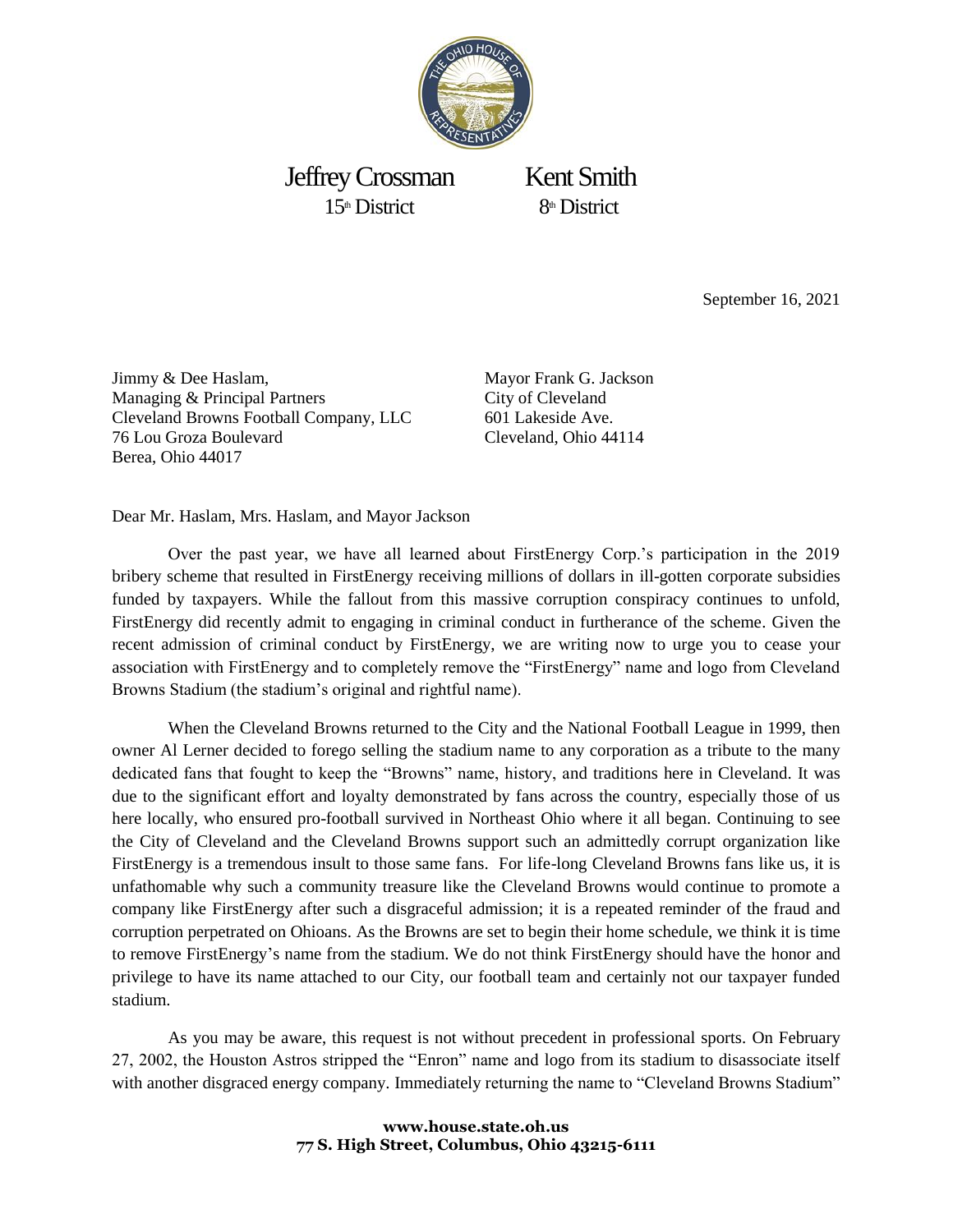

Jeffrey Crossman Kent Smith  $15<sup>th</sup>$  District 8<sup>th</sup> District

September 16, 2021

Jimmy & Dee Haslam, Managing & Principal Partners Cleveland Browns Football Company, LLC 76 Lou Groza Boulevard Berea, Ohio 44017

Mayor Frank G. Jackson City of Cleveland 601 Lakeside Ave. Cleveland, Ohio 44114

Dear Mr. Haslam, Mrs. Haslam, and Mayor Jackson

Over the past year, we have all learned about FirstEnergy Corp.'s participation in the 2019 bribery scheme that resulted in FirstEnergy receiving millions of dollars in ill-gotten corporate subsidies funded by taxpayers. While the fallout from this massive corruption conspiracy continues to unfold, FirstEnergy did recently admit to engaging in criminal conduct in furtherance of the scheme. Given the recent admission of criminal conduct by FirstEnergy, we are writing now to urge you to cease your association with FirstEnergy and to completely remove the "FirstEnergy" name and logo from Cleveland Browns Stadium (the stadium's original and rightful name).

When the Cleveland Browns returned to the City and the National Football League in 1999, then owner Al Lerner decided to forego selling the stadium name to any corporation as a tribute to the many dedicated fans that fought to keep the "Browns" name, history, and traditions here in Cleveland. It was due to the significant effort and loyalty demonstrated by fans across the country, especially those of us here locally, who ensured pro-football survived in Northeast Ohio where it all began. Continuing to see the City of Cleveland and the Cleveland Browns support such an admittedly corrupt organization like FirstEnergy is a tremendous insult to those same fans. For life-long Cleveland Browns fans like us, it is unfathomable why such a community treasure like the Cleveland Browns would continue to promote a company like FirstEnergy after such a disgraceful admission; it is a repeated reminder of the fraud and corruption perpetrated on Ohioans. As the Browns are set to begin their home schedule, we think it is time to remove FirstEnergy's name from the stadium. We do not think FirstEnergy should have the honor and privilege to have its name attached to our City, our football team and certainly not our taxpayer funded stadium.

As you may be aware, this request is not without precedent in professional sports. On February 27, 2002, the Houston Astros stripped the "Enron" name and logo from its stadium to disassociate itself with another disgraced energy company. Immediately returning the name to "Cleveland Browns Stadium"

## **www.house.state.oh.us 77 S. High Street, Columbus, Ohio 43215-6111**